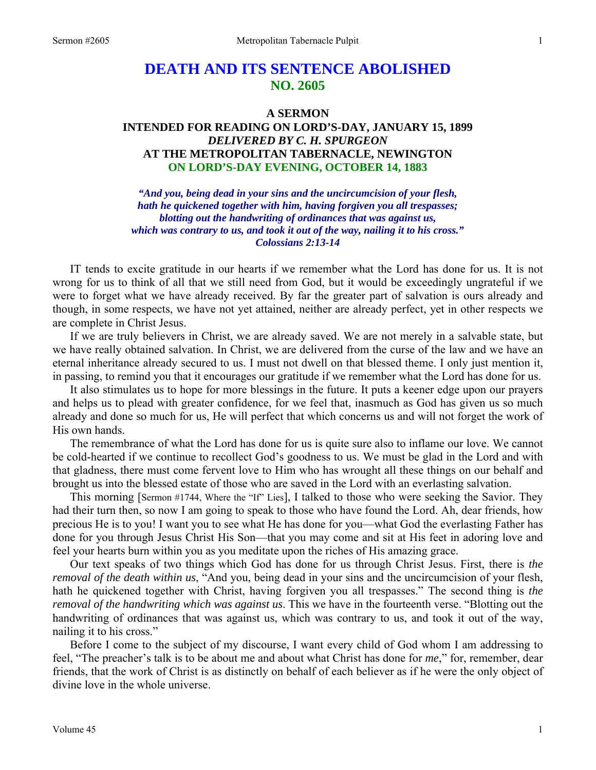# **DEATH AND ITS SENTENCE ABOLISHED NO. 2605**

### **A SERMON**

# **INTENDED FOR READING ON LORD'S-DAY, JANUARY 15, 1899**  *DELIVERED BY C. H. SPURGEON*  **AT THE METROPOLITAN TABERNACLE, NEWINGTON ON LORD'S-DAY EVENING, OCTOBER 14, 1883**

*"And you, being dead in your sins and the uncircumcision of your flesh, hath he quickened together with him, having forgiven you all trespasses; blotting out the handwriting of ordinances that was against us, which was contrary to us, and took it out of the way, nailing it to his cross." Colossians 2:13-14* 

IT tends to excite gratitude in our hearts if we remember what the Lord has done for us. It is not wrong for us to think of all that we still need from God, but it would be exceedingly ungrateful if we were to forget what we have already received. By far the greater part of salvation is ours already and though, in some respects, we have not yet attained, neither are already perfect, yet in other respects we are complete in Christ Jesus.

 If we are truly believers in Christ, we are already saved. We are not merely in a salvable state, but we have really obtained salvation. In Christ, we are delivered from the curse of the law and we have an eternal inheritance already secured to us. I must not dwell on that blessed theme. I only just mention it, in passing, to remind you that it encourages our gratitude if we remember what the Lord has done for us.

 It also stimulates us to hope for more blessings in the future. It puts a keener edge upon our prayers and helps us to plead with greater confidence, for we feel that, inasmuch as God has given us so much already and done so much for us, He will perfect that which concerns us and will not forget the work of His own hands.

 The remembrance of what the Lord has done for us is quite sure also to inflame our love. We cannot be cold-hearted if we continue to recollect God's goodness to us. We must be glad in the Lord and with that gladness, there must come fervent love to Him who has wrought all these things on our behalf and brought us into the blessed estate of those who are saved in the Lord with an everlasting salvation.

 This morning [Sermon #1744, Where the "If" Lies], I talked to those who were seeking the Savior. They had their turn then, so now I am going to speak to those who have found the Lord. Ah, dear friends, how precious He is to you! I want you to see what He has done for you—what God the everlasting Father has done for you through Jesus Christ His Son—that you may come and sit at His feet in adoring love and feel your hearts burn within you as you meditate upon the riches of His amazing grace.

 Our text speaks of two things which God has done for us through Christ Jesus. First, there is *the removal of the death within us*, "And you, being dead in your sins and the uncircumcision of your flesh, hath he quickened together with Christ, having forgiven you all trespasses." The second thing is *the removal of the handwriting which was against us*. This we have in the fourteenth verse. "Blotting out the handwriting of ordinances that was against us, which was contrary to us, and took it out of the way, nailing it to his cross."

 Before I come to the subject of my discourse, I want every child of God whom I am addressing to feel, "The preacher's talk is to be about me and about what Christ has done for *me*," for, remember, dear friends, that the work of Christ is as distinctly on behalf of each believer as if he were the only object of divine love in the whole universe.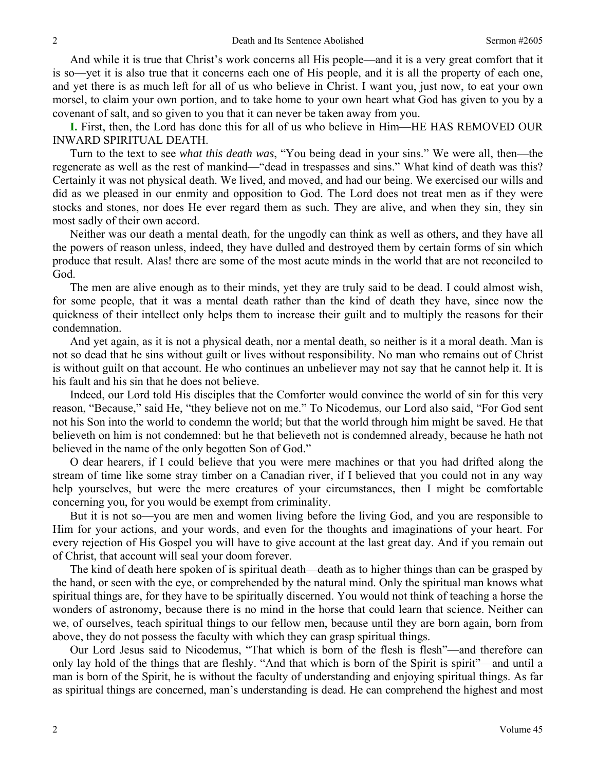And while it is true that Christ's work concerns all His people—and it is a very great comfort that it is so—yet it is also true that it concerns each one of His people, and it is all the property of each one, and yet there is as much left for all of us who believe in Christ. I want you, just now, to eat your own morsel, to claim your own portion, and to take home to your own heart what God has given to you by a covenant of salt, and so given to you that it can never be taken away from you.

**I.** First, then, the Lord has done this for all of us who believe in Him—HE HAS REMOVED OUR INWARD SPIRITUAL DEATH.

 Turn to the text to see *what this death was*, "You being dead in your sins." We were all, then—the regenerate as well as the rest of mankind—"dead in trespasses and sins." What kind of death was this? Certainly it was not physical death. We lived, and moved, and had our being. We exercised our wills and did as we pleased in our enmity and opposition to God. The Lord does not treat men as if they were stocks and stones, nor does He ever regard them as such. They are alive, and when they sin, they sin most sadly of their own accord.

 Neither was our death a mental death, for the ungodly can think as well as others, and they have all the powers of reason unless, indeed, they have dulled and destroyed them by certain forms of sin which produce that result. Alas! there are some of the most acute minds in the world that are not reconciled to God.

 The men are alive enough as to their minds, yet they are truly said to be dead. I could almost wish, for some people, that it was a mental death rather than the kind of death they have, since now the quickness of their intellect only helps them to increase their guilt and to multiply the reasons for their condemnation.

 And yet again, as it is not a physical death, nor a mental death, so neither is it a moral death. Man is not so dead that he sins without guilt or lives without responsibility. No man who remains out of Christ is without guilt on that account. He who continues an unbeliever may not say that he cannot help it. It is his fault and his sin that he does not believe.

 Indeed, our Lord told His disciples that the Comforter would convince the world of sin for this very reason, "Because," said He, "they believe not on me." To Nicodemus, our Lord also said, "For God sent not his Son into the world to condemn the world; but that the world through him might be saved. He that believeth on him is not condemned: but he that believeth not is condemned already, because he hath not believed in the name of the only begotten Son of God."

 O dear hearers, if I could believe that you were mere machines or that you had drifted along the stream of time like some stray timber on a Canadian river, if I believed that you could not in any way help yourselves, but were the mere creatures of your circumstances, then I might be comfortable concerning you, for you would be exempt from criminality.

 But it is not so—you are men and women living before the living God, and you are responsible to Him for your actions, and your words, and even for the thoughts and imaginations of your heart. For every rejection of His Gospel you will have to give account at the last great day. And if you remain out of Christ, that account will seal your doom forever.

 The kind of death here spoken of is spiritual death—death as to higher things than can be grasped by the hand, or seen with the eye, or comprehended by the natural mind. Only the spiritual man knows what spiritual things are, for they have to be spiritually discerned. You would not think of teaching a horse the wonders of astronomy, because there is no mind in the horse that could learn that science. Neither can we, of ourselves, teach spiritual things to our fellow men, because until they are born again, born from above, they do not possess the faculty with which they can grasp spiritual things.

 Our Lord Jesus said to Nicodemus, "That which is born of the flesh is flesh"—and therefore can only lay hold of the things that are fleshly. "And that which is born of the Spirit is spirit"—and until a man is born of the Spirit, he is without the faculty of understanding and enjoying spiritual things. As far as spiritual things are concerned, man's understanding is dead. He can comprehend the highest and most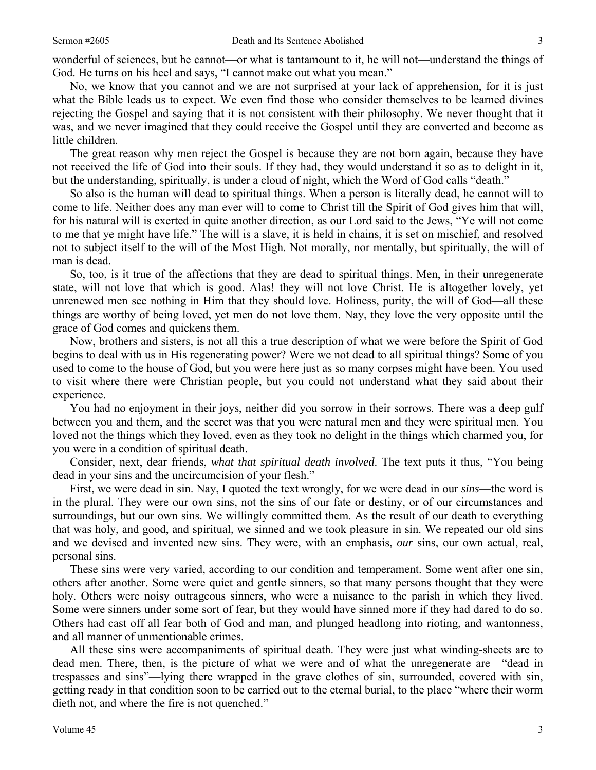wonderful of sciences, but he cannot—or what is tantamount to it, he will not—understand the things of God. He turns on his heel and says, "I cannot make out what you mean."

 No, we know that you cannot and we are not surprised at your lack of apprehension, for it is just what the Bible leads us to expect. We even find those who consider themselves to be learned divines rejecting the Gospel and saying that it is not consistent with their philosophy. We never thought that it was, and we never imagined that they could receive the Gospel until they are converted and become as little children.

 The great reason why men reject the Gospel is because they are not born again, because they have not received the life of God into their souls. If they had, they would understand it so as to delight in it, but the understanding, spiritually, is under a cloud of night, which the Word of God calls "death."

 So also is the human will dead to spiritual things. When a person is literally dead, he cannot will to come to life. Neither does any man ever will to come to Christ till the Spirit of God gives him that will, for his natural will is exerted in quite another direction, as our Lord said to the Jews, "Ye will not come to me that ye might have life." The will is a slave, it is held in chains, it is set on mischief, and resolved not to subject itself to the will of the Most High. Not morally, nor mentally, but spiritually, the will of man is dead.

 So, too, is it true of the affections that they are dead to spiritual things. Men, in their unregenerate state, will not love that which is good. Alas! they will not love Christ. He is altogether lovely, yet unrenewed men see nothing in Him that they should love. Holiness, purity, the will of God—all these things are worthy of being loved, yet men do not love them. Nay, they love the very opposite until the grace of God comes and quickens them.

 Now, brothers and sisters, is not all this a true description of what we were before the Spirit of God begins to deal with us in His regenerating power? Were we not dead to all spiritual things? Some of you used to come to the house of God, but you were here just as so many corpses might have been. You used to visit where there were Christian people, but you could not understand what they said about their experience.

 You had no enjoyment in their joys, neither did you sorrow in their sorrows. There was a deep gulf between you and them, and the secret was that you were natural men and they were spiritual men. You loved not the things which they loved, even as they took no delight in the things which charmed you, for you were in a condition of spiritual death.

 Consider, next, dear friends, *what that spiritual death involved*. The text puts it thus, "You being dead in your sins and the uncircumcision of your flesh."

 First, we were dead in sin. Nay, I quoted the text wrongly, for we were dead in our *sins*—the word is in the plural. They were our own sins, not the sins of our fate or destiny, or of our circumstances and surroundings, but our own sins. We willingly committed them. As the result of our death to everything that was holy, and good, and spiritual, we sinned and we took pleasure in sin. We repeated our old sins and we devised and invented new sins. They were, with an emphasis, *our* sins, our own actual, real, personal sins.

 These sins were very varied, according to our condition and temperament. Some went after one sin, others after another. Some were quiet and gentle sinners, so that many persons thought that they were holy. Others were noisy outrageous sinners, who were a nuisance to the parish in which they lived. Some were sinners under some sort of fear, but they would have sinned more if they had dared to do so. Others had cast off all fear both of God and man, and plunged headlong into rioting, and wantonness, and all manner of unmentionable crimes.

 All these sins were accompaniments of spiritual death. They were just what winding-sheets are to dead men. There, then, is the picture of what we were and of what the unregenerate are—"dead in trespasses and sins"—lying there wrapped in the grave clothes of sin, surrounded, covered with sin, getting ready in that condition soon to be carried out to the eternal burial, to the place "where their worm dieth not, and where the fire is not quenched."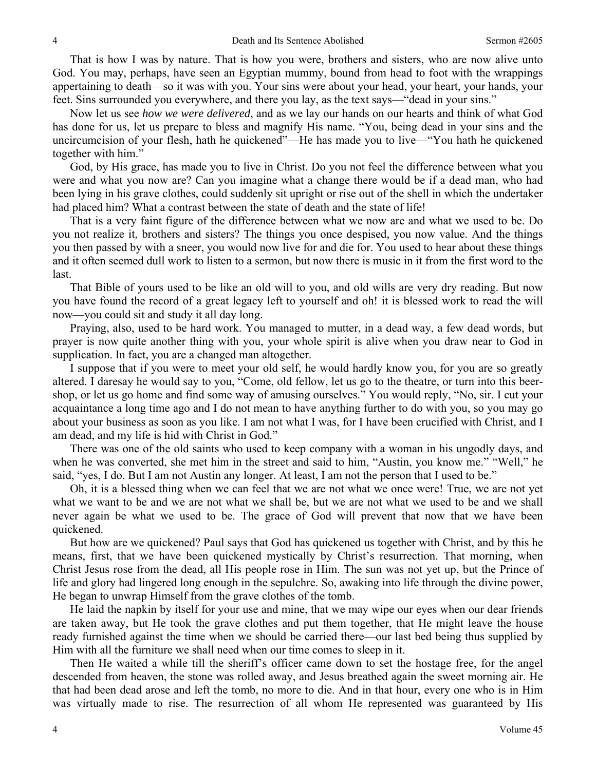That is how I was by nature. That is how you were, brothers and sisters, who are now alive unto God. You may, perhaps, have seen an Egyptian mummy, bound from head to foot with the wrappings appertaining to death—so it was with you. Your sins were about your head, your heart, your hands, your feet. Sins surrounded you everywhere, and there you lay, as the text says—"dead in your sins."

 Now let us see *how we were delivered*, and as we lay our hands on our hearts and think of what God has done for us, let us prepare to bless and magnify His name. "You, being dead in your sins and the uncircumcision of your flesh, hath he quickened"—He has made you to live—"You hath he quickened together with him."

 God, by His grace, has made you to live in Christ. Do you not feel the difference between what you were and what you now are? Can you imagine what a change there would be if a dead man, who had been lying in his grave clothes, could suddenly sit upright or rise out of the shell in which the undertaker had placed him? What a contrast between the state of death and the state of life!

 That is a very faint figure of the difference between what we now are and what we used to be. Do you not realize it, brothers and sisters? The things you once despised, you now value. And the things you then passed by with a sneer, you would now live for and die for. You used to hear about these things and it often seemed dull work to listen to a sermon, but now there is music in it from the first word to the last.

 That Bible of yours used to be like an old will to you, and old wills are very dry reading. But now you have found the record of a great legacy left to yourself and oh! it is blessed work to read the will now—you could sit and study it all day long.

 Praying, also, used to be hard work. You managed to mutter, in a dead way, a few dead words, but prayer is now quite another thing with you, your whole spirit is alive when you draw near to God in supplication. In fact, you are a changed man altogether.

 I suppose that if you were to meet your old self, he would hardly know you, for you are so greatly altered. I daresay he would say to you, "Come, old fellow, let us go to the theatre, or turn into this beershop, or let us go home and find some way of amusing ourselves." You would reply, "No, sir. I cut your acquaintance a long time ago and I do not mean to have anything further to do with you, so you may go about your business as soon as you like. I am not what I was, for I have been crucified with Christ, and I am dead, and my life is hid with Christ in God."

 There was one of the old saints who used to keep company with a woman in his ungodly days, and when he was converted, she met him in the street and said to him, "Austin, you know me." "Well," he said, "yes, I do. But I am not Austin any longer. At least, I am not the person that I used to be."

 Oh, it is a blessed thing when we can feel that we are not what we once were! True, we are not yet what we want to be and we are not what we shall be, but we are not what we used to be and we shall never again be what we used to be. The grace of God will prevent that now that we have been quickened.

 But how are we quickened? Paul says that God has quickened us together with Christ, and by this he means, first, that we have been quickened mystically by Christ's resurrection. That morning, when Christ Jesus rose from the dead, all His people rose in Him. The sun was not yet up, but the Prince of life and glory had lingered long enough in the sepulchre. So, awaking into life through the divine power, He began to unwrap Himself from the grave clothes of the tomb.

 He laid the napkin by itself for your use and mine, that we may wipe our eyes when our dear friends are taken away, but He took the grave clothes and put them together, that He might leave the house ready furnished against the time when we should be carried there—our last bed being thus supplied by Him with all the furniture we shall need when our time comes to sleep in it.

 Then He waited a while till the sheriff's officer came down to set the hostage free, for the angel descended from heaven, the stone was rolled away, and Jesus breathed again the sweet morning air. He that had been dead arose and left the tomb, no more to die. And in that hour, every one who is in Him was virtually made to rise. The resurrection of all whom He represented was guaranteed by His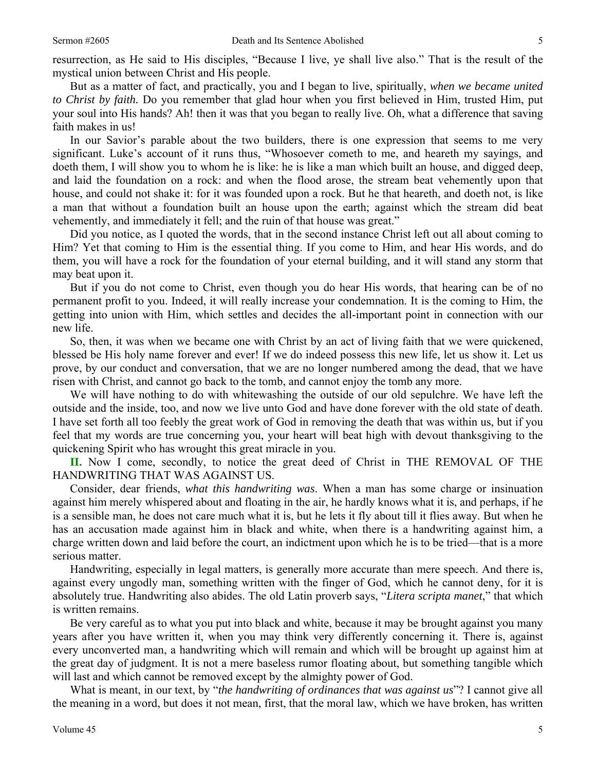resurrection, as He said to His disciples, "Because I live, ye shall live also." That is the result of the mystical union between Christ and His people.

 But as a matter of fact, and practically, you and I began to live, spiritually, *when we became united to Christ by faith.* Do you remember that glad hour when you first believed in Him, trusted Him, put your soul into His hands? Ah! then it was that you began to really live. Oh, what a difference that saving faith makes in us!

 In our Savior's parable about the two builders, there is one expression that seems to me very significant. Luke's account of it runs thus, "Whosoever cometh to me, and heareth my sayings, and doeth them, I will show you to whom he is like: he is like a man which built an house, and digged deep, and laid the foundation on a rock: and when the flood arose, the stream beat vehemently upon that house, and could not shake it: for it was founded upon a rock. But he that heareth, and doeth not, is like a man that without a foundation built an house upon the earth; against which the stream did beat vehemently, and immediately it fell; and the ruin of that house was great."

 Did you notice, as I quoted the words, that in the second instance Christ left out all about coming to Him? Yet that coming to Him is the essential thing. If you come to Him, and hear His words, and do them, you will have a rock for the foundation of your eternal building, and it will stand any storm that may beat upon it.

 But if you do not come to Christ, even though you do hear His words, that hearing can be of no permanent profit to you. Indeed, it will really increase your condemnation. It is the coming to Him, the getting into union with Him, which settles and decides the all-important point in connection with our new life.

 So, then, it was when we became one with Christ by an act of living faith that we were quickened, blessed be His holy name forever and ever! If we do indeed possess this new life, let us show it. Let us prove, by our conduct and conversation, that we are no longer numbered among the dead, that we have risen with Christ, and cannot go back to the tomb, and cannot enjoy the tomb any more.

 We will have nothing to do with whitewashing the outside of our old sepulchre. We have left the outside and the inside, too, and now we live unto God and have done forever with the old state of death. I have set forth all too feebly the great work of God in removing the death that was within us, but if you feel that my words are true concerning you, your heart will beat high with devout thanksgiving to the quickening Spirit who has wrought this great miracle in you.

**II.** Now I come, secondly, to notice the great deed of Christ in THE REMOVAL OF THE HANDWRITING THAT WAS AGAINST US.

 Consider, dear friends, *what this handwriting was*. When a man has some charge or insinuation against him merely whispered about and floating in the air, he hardly knows what it is, and perhaps, if he is a sensible man, he does not care much what it is, but he lets it fly about till it flies away. But when he has an accusation made against him in black and white, when there is a handwriting against him, a charge written down and laid before the court, an indictment upon which he is to be tried—that is a more serious matter.

 Handwriting, especially in legal matters, is generally more accurate than mere speech. And there is, against every ungodly man, something written with the finger of God, which he cannot deny, for it is absolutely true. Handwriting also abides. The old Latin proverb says, "*Litera scripta manet*," that which is written remains.

 Be very careful as to what you put into black and white, because it may be brought against you many years after you have written it, when you may think very differently concerning it. There is, against every unconverted man, a handwriting which will remain and which will be brought up against him at the great day of judgment. It is not a mere baseless rumor floating about, but something tangible which will last and which cannot be removed except by the almighty power of God.

 What is meant, in our text, by "*the handwriting of ordinances that was against us*"? I cannot give all the meaning in a word, but does it not mean, first, that the moral law, which we have broken, has written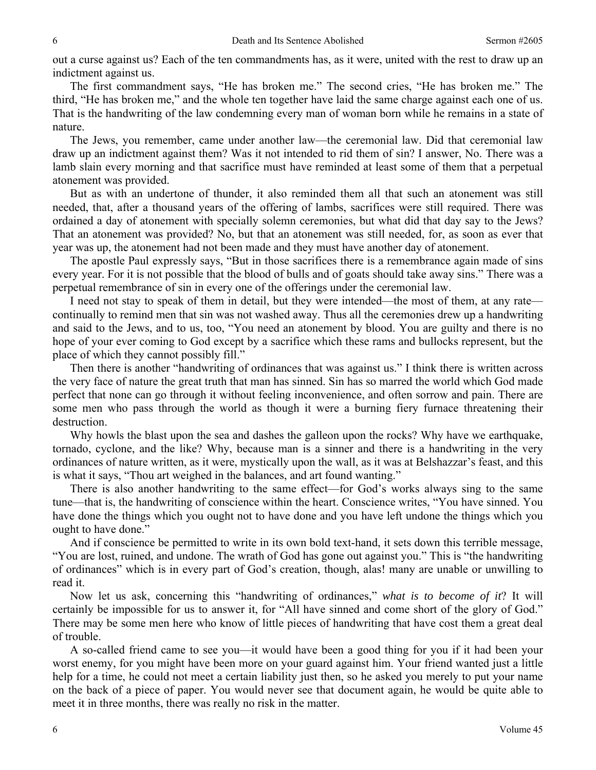out a curse against us? Each of the ten commandments has, as it were, united with the rest to draw up an indictment against us.

 The first commandment says, "He has broken me." The second cries, "He has broken me." The third, "He has broken me," and the whole ten together have laid the same charge against each one of us. That is the handwriting of the law condemning every man of woman born while he remains in a state of nature.

 The Jews, you remember, came under another law—the ceremonial law. Did that ceremonial law draw up an indictment against them? Was it not intended to rid them of sin? I answer, No. There was a lamb slain every morning and that sacrifice must have reminded at least some of them that a perpetual atonement was provided.

 But as with an undertone of thunder, it also reminded them all that such an atonement was still needed, that, after a thousand years of the offering of lambs, sacrifices were still required. There was ordained a day of atonement with specially solemn ceremonies, but what did that day say to the Jews? That an atonement was provided? No, but that an atonement was still needed, for, as soon as ever that year was up, the atonement had not been made and they must have another day of atonement.

 The apostle Paul expressly says, "But in those sacrifices there is a remembrance again made of sins every year. For it is not possible that the blood of bulls and of goats should take away sins." There was a perpetual remembrance of sin in every one of the offerings under the ceremonial law.

 I need not stay to speak of them in detail, but they were intended—the most of them, at any rate continually to remind men that sin was not washed away. Thus all the ceremonies drew up a handwriting and said to the Jews, and to us, too, "You need an atonement by blood. You are guilty and there is no hope of your ever coming to God except by a sacrifice which these rams and bullocks represent, but the place of which they cannot possibly fill."

 Then there is another "handwriting of ordinances that was against us." I think there is written across the very face of nature the great truth that man has sinned. Sin has so marred the world which God made perfect that none can go through it without feeling inconvenience, and often sorrow and pain. There are some men who pass through the world as though it were a burning fiery furnace threatening their destruction.

 Why howls the blast upon the sea and dashes the galleon upon the rocks? Why have we earthquake, tornado, cyclone, and the like? Why, because man is a sinner and there is a handwriting in the very ordinances of nature written, as it were, mystically upon the wall, as it was at Belshazzar's feast, and this is what it says, "Thou art weighed in the balances, and art found wanting."

 There is also another handwriting to the same effect—for God's works always sing to the same tune—that is, the handwriting of conscience within the heart. Conscience writes, "You have sinned. You have done the things which you ought not to have done and you have left undone the things which you ought to have done."

 And if conscience be permitted to write in its own bold text-hand, it sets down this terrible message, "You are lost, ruined, and undone. The wrath of God has gone out against you." This is "the handwriting of ordinances" which is in every part of God's creation, though, alas! many are unable or unwilling to read it.

 Now let us ask, concerning this "handwriting of ordinances," *what is to become of it*? It will certainly be impossible for us to answer it, for "All have sinned and come short of the glory of God." There may be some men here who know of little pieces of handwriting that have cost them a great deal of trouble.

 A so-called friend came to see you—it would have been a good thing for you if it had been your worst enemy, for you might have been more on your guard against him. Your friend wanted just a little help for a time, he could not meet a certain liability just then, so he asked you merely to put your name on the back of a piece of paper. You would never see that document again, he would be quite able to meet it in three months, there was really no risk in the matter.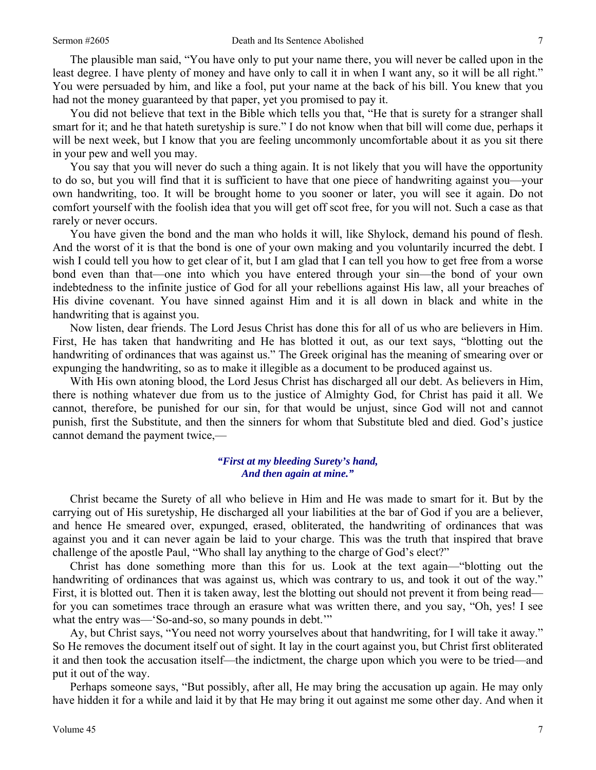The plausible man said, "You have only to put your name there, you will never be called upon in the least degree. I have plenty of money and have only to call it in when I want any, so it will be all right." You were persuaded by him, and like a fool, put your name at the back of his bill. You knew that you had not the money guaranteed by that paper, yet you promised to pay it.

 You did not believe that text in the Bible which tells you that, "He that is surety for a stranger shall smart for it; and he that hateth suretyship is sure." I do not know when that bill will come due, perhaps it will be next week, but I know that you are feeling uncommonly uncomfortable about it as you sit there in your pew and well you may.

 You say that you will never do such a thing again. It is not likely that you will have the opportunity to do so, but you will find that it is sufficient to have that one piece of handwriting against you—your own handwriting, too. It will be brought home to you sooner or later, you will see it again. Do not comfort yourself with the foolish idea that you will get off scot free, for you will not. Such a case as that rarely or never occurs.

 You have given the bond and the man who holds it will, like Shylock, demand his pound of flesh. And the worst of it is that the bond is one of your own making and you voluntarily incurred the debt. I wish I could tell you how to get clear of it, but I am glad that I can tell you how to get free from a worse bond even than that—one into which you have entered through your sin—the bond of your own indebtedness to the infinite justice of God for all your rebellions against His law, all your breaches of His divine covenant. You have sinned against Him and it is all down in black and white in the handwriting that is against you.

 Now listen, dear friends. The Lord Jesus Christ has done this for all of us who are believers in Him. First, He has taken that handwriting and He has blotted it out, as our text says, "blotting out the handwriting of ordinances that was against us." The Greek original has the meaning of smearing over or expunging the handwriting, so as to make it illegible as a document to be produced against us.

 With His own atoning blood, the Lord Jesus Christ has discharged all our debt. As believers in Him, there is nothing whatever due from us to the justice of Almighty God, for Christ has paid it all. We cannot, therefore, be punished for our sin, for that would be unjust, since God will not and cannot punish, first the Substitute, and then the sinners for whom that Substitute bled and died. God's justice cannot demand the payment twice,—

#### *"First at my bleeding Surety's hand, And then again at mine."*

 Christ became the Surety of all who believe in Him and He was made to smart for it. But by the carrying out of His suretyship, He discharged all your liabilities at the bar of God if you are a believer, and hence He smeared over, expunged, erased, obliterated, the handwriting of ordinances that was against you and it can never again be laid to your charge. This was the truth that inspired that brave challenge of the apostle Paul, "Who shall lay anything to the charge of God's elect?"

 Christ has done something more than this for us. Look at the text again—"blotting out the handwriting of ordinances that was against us, which was contrary to us, and took it out of the way." First, it is blotted out. Then it is taken away, lest the blotting out should not prevent it from being read for you can sometimes trace through an erasure what was written there, and you say, "Oh, yes! I see what the entry was—'So-and-so, so many pounds in debt."

 Ay, but Christ says, "You need not worry yourselves about that handwriting, for I will take it away." So He removes the document itself out of sight. It lay in the court against you, but Christ first obliterated it and then took the accusation itself—the indictment, the charge upon which you were to be tried—and put it out of the way.

 Perhaps someone says, "But possibly, after all, He may bring the accusation up again. He may only have hidden it for a while and laid it by that He may bring it out against me some other day. And when it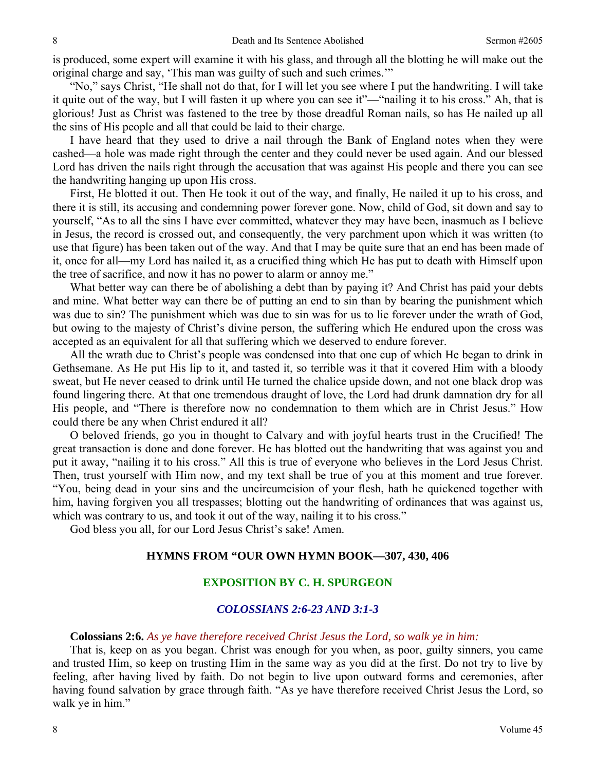is produced, some expert will examine it with his glass, and through all the blotting he will make out the original charge and say, 'This man was guilty of such and such crimes.'"

 "No," says Christ, "He shall not do that, for I will let you see where I put the handwriting. I will take it quite out of the way, but I will fasten it up where you can see it"—"nailing it to his cross." Ah, that is glorious! Just as Christ was fastened to the tree by those dreadful Roman nails, so has He nailed up all the sins of His people and all that could be laid to their charge.

 I have heard that they used to drive a nail through the Bank of England notes when they were cashed—a hole was made right through the center and they could never be used again. And our blessed Lord has driven the nails right through the accusation that was against His people and there you can see the handwriting hanging up upon His cross.

 First, He blotted it out. Then He took it out of the way, and finally, He nailed it up to his cross, and there it is still, its accusing and condemning power forever gone. Now, child of God, sit down and say to yourself, "As to all the sins I have ever committed, whatever they may have been, inasmuch as I believe in Jesus, the record is crossed out, and consequently, the very parchment upon which it was written (to use that figure) has been taken out of the way. And that I may be quite sure that an end has been made of it, once for all—my Lord has nailed it, as a crucified thing which He has put to death with Himself upon the tree of sacrifice, and now it has no power to alarm or annoy me."

 What better way can there be of abolishing a debt than by paying it? And Christ has paid your debts and mine. What better way can there be of putting an end to sin than by bearing the punishment which was due to sin? The punishment which was due to sin was for us to lie forever under the wrath of God, but owing to the majesty of Christ's divine person, the suffering which He endured upon the cross was accepted as an equivalent for all that suffering which we deserved to endure forever.

 All the wrath due to Christ's people was condensed into that one cup of which He began to drink in Gethsemane. As He put His lip to it, and tasted it, so terrible was it that it covered Him with a bloody sweat, but He never ceased to drink until He turned the chalice upside down, and not one black drop was found lingering there. At that one tremendous draught of love, the Lord had drunk damnation dry for all His people, and "There is therefore now no condemnation to them which are in Christ Jesus." How could there be any when Christ endured it all?

 O beloved friends, go you in thought to Calvary and with joyful hearts trust in the Crucified! The great transaction is done and done forever. He has blotted out the handwriting that was against you and put it away, "nailing it to his cross." All this is true of everyone who believes in the Lord Jesus Christ. Then, trust yourself with Him now, and my text shall be true of you at this moment and true forever. "You, being dead in your sins and the uncircumcision of your flesh, hath he quickened together with him, having forgiven you all trespasses; blotting out the handwriting of ordinances that was against us, which was contrary to us, and took it out of the way, nailing it to his cross."

God bless you all, for our Lord Jesus Christ's sake! Amen.

#### **HYMNS FROM "OUR OWN HYMN BOOK—307, 430, 406**

# **EXPOSITION BY C. H. SPURGEON**

# *COLOSSIANS 2:6-23 AND 3:1-3*

#### **Colossians 2:6.** *As ye have therefore received Christ Jesus the Lord, so walk ye in him:*

 That is, keep on as you began. Christ was enough for you when, as poor, guilty sinners, you came and trusted Him, so keep on trusting Him in the same way as you did at the first. Do not try to live by feeling, after having lived by faith. Do not begin to live upon outward forms and ceremonies, after having found salvation by grace through faith. "As ye have therefore received Christ Jesus the Lord, so walk ye in him."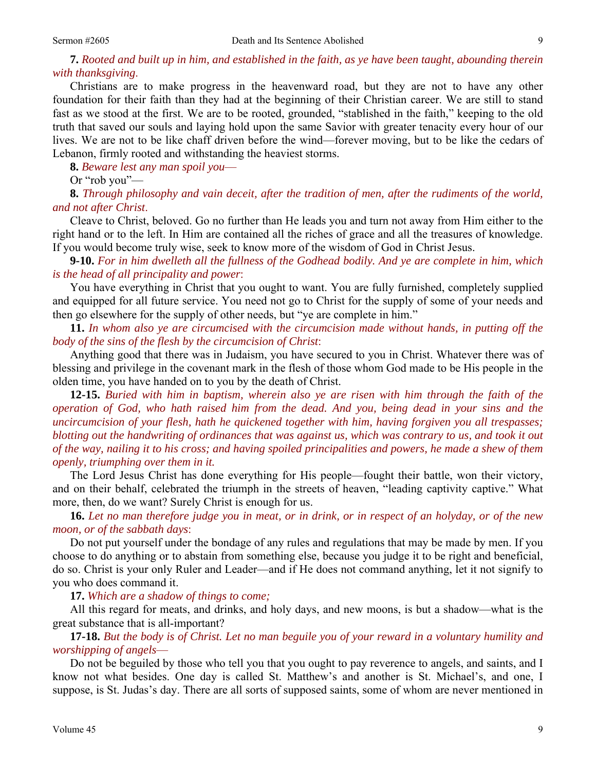# **7.** *Rooted and built up in him, and established in the faith, as ye have been taught, abounding therein with thanksgiving*.

 Christians are to make progress in the heavenward road, but they are not to have any other foundation for their faith than they had at the beginning of their Christian career. We are still to stand fast as we stood at the first. We are to be rooted, grounded, "stablished in the faith," keeping to the old truth that saved our souls and laying hold upon the same Savior with greater tenacity every hour of our lives. We are not to be like chaff driven before the wind—forever moving, but to be like the cedars of Lebanon, firmly rooted and withstanding the heaviest storms.

**8.** *Beware lest any man spoil you*—

Or "rob you"—

**8.** *Through philosophy and vain deceit, after the tradition of men, after the rudiments of the world, and not after Christ*.

 Cleave to Christ, beloved. Go no further than He leads you and turn not away from Him either to the right hand or to the left. In Him are contained all the riches of grace and all the treasures of knowledge. If you would become truly wise, seek to know more of the wisdom of God in Christ Jesus.

**9-10.** *For in him dwelleth all the fullness of the Godhead bodily. And ye are complete in him, which is the head of all principality and power*:

 You have everything in Christ that you ought to want. You are fully furnished, completely supplied and equipped for all future service. You need not go to Christ for the supply of some of your needs and then go elsewhere for the supply of other needs, but "ye are complete in him."

**11.** *In whom also ye are circumcised with the circumcision made without hands, in putting off the body of the sins of the flesh by the circumcision of Christ*:

 Anything good that there was in Judaism, you have secured to you in Christ. Whatever there was of blessing and privilege in the covenant mark in the flesh of those whom God made to be His people in the olden time, you have handed on to you by the death of Christ.

**12-15.** *Buried with him in baptism, wherein also ye are risen with him through the faith of the operation of God, who hath raised him from the dead. And you, being dead in your sins and the uncircumcision of your flesh, hath he quickened together with him, having forgiven you all trespasses; blotting out the handwriting of ordinances that was against us, which was contrary to us, and took it out of the way, nailing it to his cross; and having spoiled principalities and powers, he made a shew of them openly, triumphing over them in it.* 

 The Lord Jesus Christ has done everything for His people—fought their battle, won their victory, and on their behalf, celebrated the triumph in the streets of heaven, "leading captivity captive." What more, then, do we want? Surely Christ is enough for us.

**16.** *Let no man therefore judge you in meat, or in drink, or in respect of an holyday, or of the new moon, or of the sabbath days*:

 Do not put yourself under the bondage of any rules and regulations that may be made by men. If you choose to do anything or to abstain from something else, because you judge it to be right and beneficial, do so. Christ is your only Ruler and Leader—and if He does not command anything, let it not signify to you who does command it.

**17.** *Which are a shadow of things to come;*

 All this regard for meats, and drinks, and holy days, and new moons, is but a shadow—what is the great substance that is all-important?

**17-18.** *But the body is of Christ. Let no man beguile you of your reward in a voluntary humility and worshipping of angels*—

 Do not be beguiled by those who tell you that you ought to pay reverence to angels, and saints, and I know not what besides. One day is called St. Matthew's and another is St. Michael's, and one, I suppose, is St. Judas's day. There are all sorts of supposed saints, some of whom are never mentioned in